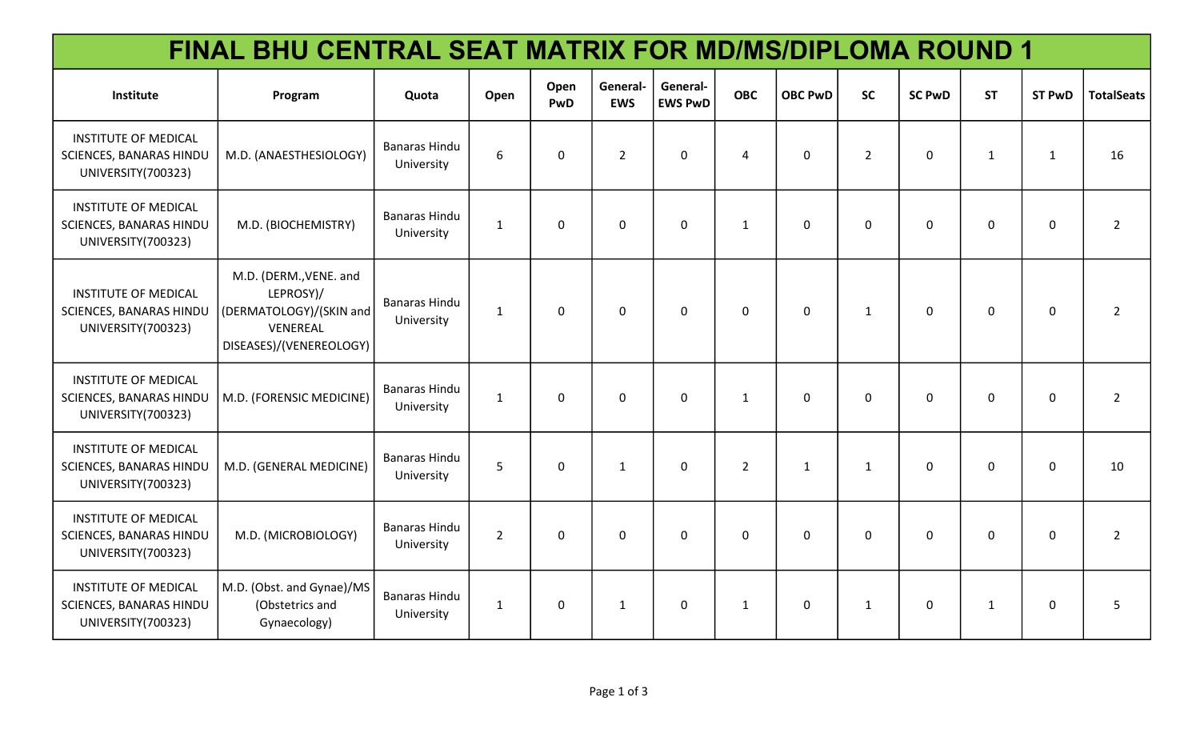| FINAL BHU CENTRAL SEAT MATRIX FOR MD/MS/DIPLOMA ROUND 1                             |                                                                                                       |                                    |              |             |                        |                            |              |                |                |               |              |               |                   |
|-------------------------------------------------------------------------------------|-------------------------------------------------------------------------------------------------------|------------------------------------|--------------|-------------|------------------------|----------------------------|--------------|----------------|----------------|---------------|--------------|---------------|-------------------|
| Institute                                                                           | Program                                                                                               | Quota                              | Open         | Open<br>PwD | General-<br><b>EWS</b> | General-<br><b>EWS PwD</b> | <b>OBC</b>   | <b>OBC PwD</b> | <b>SC</b>      | <b>SC PwD</b> | <b>ST</b>    | <b>ST PwD</b> | <b>TotalSeats</b> |
| <b>INSTITUTE OF MEDICAL</b><br>SCIENCES, BANARAS HINDU<br>UNIVERSITY(700323)        | M.D. (ANAESTHESIOLOGY)                                                                                | <b>Banaras Hindu</b><br>University | 6            | 0           | $\overline{2}$         | $\mathbf 0$                | 4            | $\Omega$       | $\overline{2}$ | $\mathbf 0$   | $\mathbf{1}$ | 1             | 16                |
| <b>INSTITUTE OF MEDICAL</b><br>SCIENCES, BANARAS HINDU<br>UNIVERSITY(700323)        | M.D. (BIOCHEMISTRY)                                                                                   | <b>Banaras Hindu</b><br>University | 1            | $\mathbf 0$ | $\mathbf 0$            | $\mathbf 0$                | $\mathbf{1}$ | $\Omega$       | $\mathbf 0$    | 0             | $\mathbf 0$  | 0             | $\overline{2}$    |
| <b>INSTITUTE OF MEDICAL</b><br><b>SCIENCES, BANARAS HINDU</b><br>UNIVERSITY(700323) | M.D. (DERM., VENE. and<br>LEPROSY)/<br>(DERMATOLOGY)/(SKIN and<br>VENEREAL<br>DISEASES)/(VENEREOLOGY) | <b>Banaras Hindu</b><br>University | $\mathbf{1}$ | $\mathbf 0$ | $\mathbf 0$            | $\mathbf 0$                | $\Omega$     | $\Omega$       | $\mathbf{1}$   | $\mathbf 0$   | $\mathbf 0$  | $\mathbf 0$   | $\overline{2}$    |
| <b>INSTITUTE OF MEDICAL</b><br>SCIENCES, BANARAS HINDU<br>UNIVERSITY(700323)        | M.D. (FORENSIC MEDICINE)                                                                              | <b>Banaras Hindu</b><br>University | $\mathbf{1}$ | $\mathbf 0$ | $\mathbf 0$            | $\mathbf 0$                | $\mathbf{1}$ | 0              | $\mathbf 0$    | $\mathbf 0$   | $\mathbf 0$  | 0             | $\overline{2}$    |
| <b>INSTITUTE OF MEDICAL</b>                                                         |                                                                                                       |                                    |              |             |                        |                            |              |                |                |               |              |               |                   |

SCIENCES, BANARAS HINDU UNIVERSITY(700323)

INSTITUTE OF MEDICAL SCIENCES, BANARAS HINDU UNIVERSITY(700323)

INSTITUTE OF MEDICAL SCIENCES, BANARAS HINDU UNIVERSITY(700323)

M.D. (GENERAL MEDICINE) Banaras Hindu

M.D. (MICROBIOLOGY) Banaras Hindu

M.D. (Obst. and Gynae)/MS (Obstetrics and Gynaecology)

University

University

Banaras Hindu University

5 0 1 0 2 1 1 0 0 0 0 10

2 0 0 0 0 0 0 0 0 0 0 2

1 0 1 0 1 0 1 0 1 0 5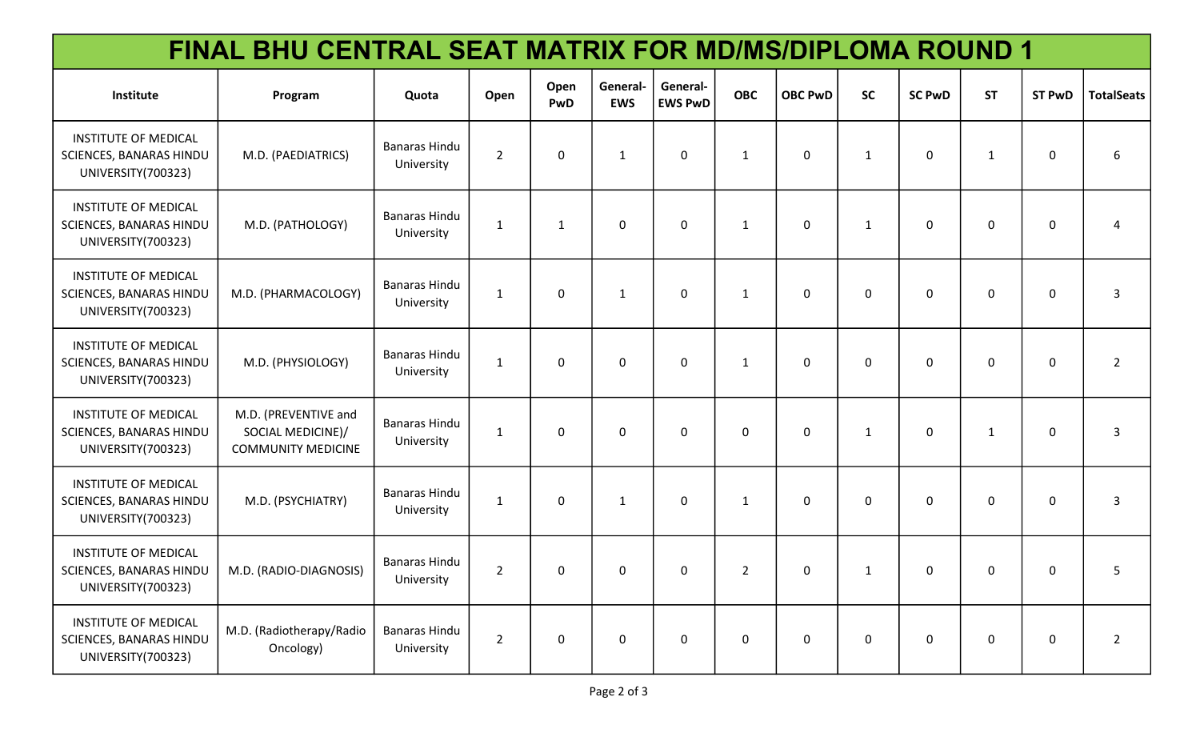| FINAL BHU CENTRAL SEAT MATRIX FOR MD/MS/DIPLOMA ROUND 1                      |                                                                        |                                    |                |                |                        |                            |              |                |              |               |                  |                |                   |
|------------------------------------------------------------------------------|------------------------------------------------------------------------|------------------------------------|----------------|----------------|------------------------|----------------------------|--------------|----------------|--------------|---------------|------------------|----------------|-------------------|
| Institute                                                                    | Program                                                                | Quota                              | Open           | Open<br>PwD    | General-<br><b>EWS</b> | General-<br><b>EWS PwD</b> | <b>OBC</b>   | <b>OBC PwD</b> | <b>SC</b>    | <b>SC PwD</b> | <b>ST</b>        | <b>ST PwD</b>  | <b>TotalSeats</b> |
| <b>INSTITUTE OF MEDICAL</b><br>SCIENCES, BANARAS HINDU<br>UNIVERSITY(700323) | M.D. (PAEDIATRICS)                                                     | <b>Banaras Hindu</b><br>University | $\overline{2}$ | $\pmb{0}$      | $\mathbf{1}$           | $\mathbf 0$                | $\mathbf{1}$ | $\mathbf 0$    | $\mathbf{1}$ | $\mathbf 0$   | $\mathbf{1}$     | 0              | 6                 |
| <b>INSTITUTE OF MEDICAL</b><br>SCIENCES, BANARAS HINDU<br>UNIVERSITY(700323) | M.D. (PATHOLOGY)                                                       | <b>Banaras Hindu</b><br>University | $\mathbf{1}$   | $\mathbf{1}$   | $\mathbf 0$            | $\mathbf 0$                | $\mathbf{1}$ | $\mathbf 0$    | $\mathbf{1}$ | $\mathbf 0$   | $\mathbf 0$      | $\mathbf 0$    | 4                 |
| <b>INSTITUTE OF MEDICAL</b><br>SCIENCES, BANARAS HINDU<br>UNIVERSITY(700323) | M.D. (PHARMACOLOGY)                                                    | Banaras Hindu<br>University        | $\mathbf{1}$   | 0              | 1                      | $\mathbf 0$                | $\mathbf{1}$ | $\mathbf 0$    | $\mathbf 0$  | $\mathbf 0$   | $\mathbf{0}$     | 0              | 3                 |
| <b>INSTITUTE OF MEDICAL</b><br>SCIENCES, BANARAS HINDU<br>UNIVERSITY(700323) | M.D. (PHYSIOLOGY)                                                      | <b>Banaras Hindu</b><br>University | $\mathbf{1}$   | 0              | $\mathbf 0$            | $\mathbf 0$                | $\mathbf{1}$ | $\mathbf 0$    | $\mathbf 0$  | $\mathbf 0$   | $\mathbf 0$      | $\mathbf 0$    | $\overline{2}$    |
| <b>INSTITUTE OF MEDICAL</b><br>SCIENCES, BANARAS HINDU<br>UNIVERSITY(700323) | M.D. (PREVENTIVE and<br>SOCIAL MEDICINE)/<br><b>COMMUNITY MEDICINE</b> | <b>Banaras Hindu</b><br>University | $\mathbf 1$    | $\pmb{0}$      | 0                      | $\mathbf 0$                | $\mathbf 0$  | 0              | $\mathbf{1}$ | $\mathbf 0$   | $\mathbf{1}$     | 0              | 3                 |
| <b>INSTITUTE OF MEDICAL</b><br>SCIENCES, BANARAS HINDU<br>UNIVERSITY(700323) | M.D. (PSYCHIATRY)                                                      | <b>Banaras Hindu</b><br>University | $\mathbf{1}$   | 0              | 1                      | $\mathbf{0}$               | $\mathbf{1}$ | 0              | $\mathbf 0$  | $\mathbf 0$   | 0                | 0              | 3                 |
| <b>INSTITUTE OF MEDICAL</b><br>SCIENCES, BANARAS HINDU<br>UNIVERSITY(700323) | M.D. (RADIO-DIAGNOSIS)                                                 | <b>Banaras Hindu</b><br>University | $2^{\circ}$    | $\overline{0}$ | $\overline{0}$         | $\mathbf 0$                | $2^{\circ}$  | $\mathbf{0}$   | $\mathbf{1}$ | $\mathbf{0}$  | $\overline{0}$   | $\overline{0}$ |                   |
| <b>INSTITUTE OF MEDICAL</b><br>SCIENCES, BANARAS HINDU<br>UNIVERSITY(700323) | M.D. (Radiotherapy/Radio<br>Oncology)                                  | <b>Banaras Hindu</b><br>University | $\overline{2}$ | $\pmb{0}$      | $\mathbf 0$            | $\mathbf 0$                | $\pmb{0}$    | $\mathbf 0$    | $\mathbf 0$  | $\pmb{0}$     | $\boldsymbol{0}$ | $\pmb{0}$      | $\overline{2}$    |